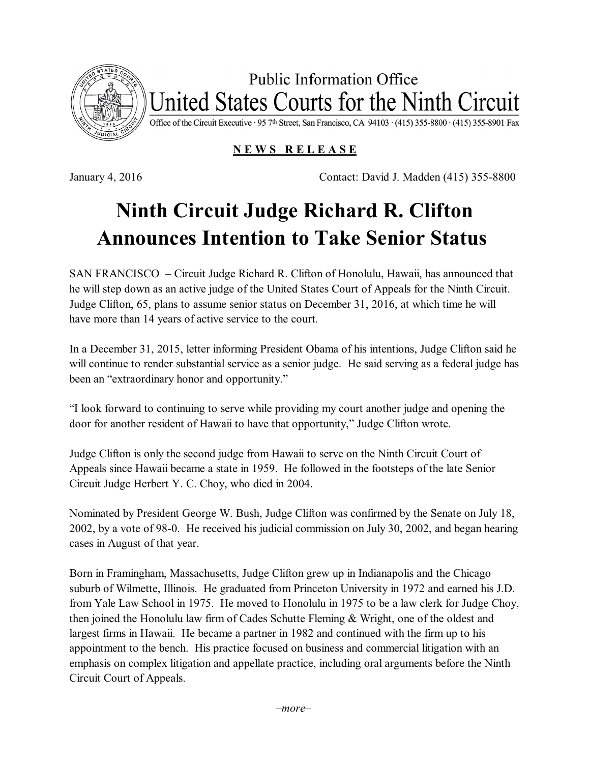

**Public Information Office** United States Courts for the Ninth Circuit

Office of the Circuit Executive · 95 7th Street, San Francisco, CA 94103 · (415) 355-8800 · (415) 355-8901 Fax

## **N E W S R E L E A S E**

January 4, 2016 Contact: David J. Madden (415) 355-8800

## **Ninth Circuit Judge Richard R. Clifton Announces Intention to Take Senior Status**

SAN FRANCISCO – Circuit Judge Richard R. Clifton of Honolulu, Hawaii, has announced that he will step down as an active judge of the United States Court of Appeals for the Ninth Circuit. Judge Clifton, 65, plans to assume senior status on December 31, 2016, at which time he will have more than 14 years of active service to the court.

In a December 31, 2015, letter informing President Obama of his intentions, Judge Clifton said he will continue to render substantial service as a senior judge. He said serving as a federal judge has been an "extraordinary honor and opportunity."

"I look forward to continuing to serve while providing my court another judge and opening the door for another resident of Hawaii to have that opportunity," Judge Clifton wrote.

Judge Clifton is only the second judge from Hawaii to serve on the Ninth Circuit Court of Appeals since Hawaii became a state in 1959. He followed in the footsteps of the late Senior Circuit Judge Herbert Y. C. Choy, who died in 2004.

Nominated by President George W. Bush, Judge Clifton was confirmed by the Senate on July 18, 2002, by a vote of 98-0. He received his judicial commission on July 30, 2002, and began hearing cases in August of that year.

Born in Framingham, Massachusetts, Judge Clifton grew up in Indianapolis and the Chicago suburb of Wilmette, Illinois. He graduated from Princeton University in 1972 and earned his J.D. from Yale Law School in 1975. He moved to Honolulu in 1975 to be a law clerk for Judge Choy, then joined the Honolulu law firm of Cades Schutte Fleming & Wright, one of the oldest and largest firms in Hawaii. He became a partner in 1982 and continued with the firm up to his appointment to the bench. His practice focused on business and commercial litigation with an emphasis on complex litigation and appellate practice, including oral arguments before the Ninth Circuit Court of Appeals.